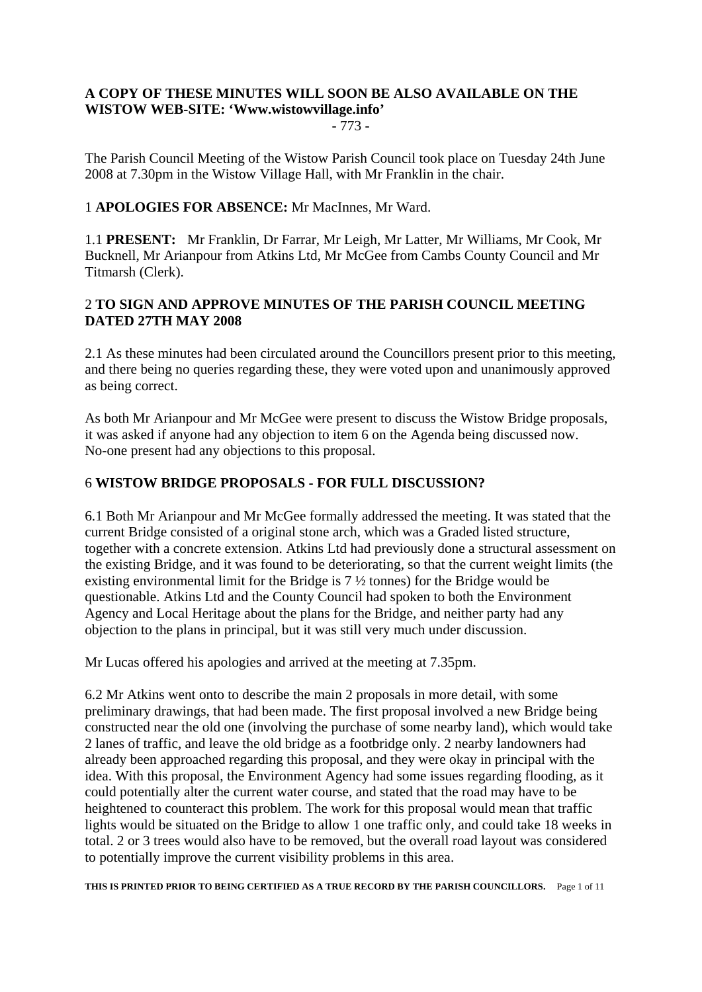# **A COPY OF THESE MINUTES WILL SOON BE ALSO AVAILABLE ON THE WISTOW WEB-SITE: 'Www.wistowvillage.info'**

- 773 -

The Parish Council Meeting of the Wistow Parish Council took place on Tuesday 24th June 2008 at 7.30pm in the Wistow Village Hall, with Mr Franklin in the chair.

#### 1 **APOLOGIES FOR ABSENCE:** Mr MacInnes, Mr Ward.

1.1 **PRESENT:** Mr Franklin, Dr Farrar, Mr Leigh, Mr Latter, Mr Williams, Mr Cook, Mr Bucknell, Mr Arianpour from Atkins Ltd, Mr McGee from Cambs County Council and Mr Titmarsh (Clerk).

## 2 **TO SIGN AND APPROVE MINUTES OF THE PARISH COUNCIL MEETING DATED 27TH MAY 2008**

2.1 As these minutes had been circulated around the Councillors present prior to this meeting, and there being no queries regarding these, they were voted upon and unanimously approved as being correct.

As both Mr Arianpour and Mr McGee were present to discuss the Wistow Bridge proposals, it was asked if anyone had any objection to item 6 on the Agenda being discussed now. No-one present had any objections to this proposal.

## 6 **WISTOW BRIDGE PROPOSALS - FOR FULL DISCUSSION?**

6.1 Both Mr Arianpour and Mr McGee formally addressed the meeting. It was stated that the current Bridge consisted of a original stone arch, which was a Graded listed structure, together with a concrete extension. Atkins Ltd had previously done a structural assessment on the existing Bridge, and it was found to be deteriorating, so that the current weight limits (the existing environmental limit for the Bridge is 7 ½ tonnes) for the Bridge would be questionable. Atkins Ltd and the County Council had spoken to both the Environment Agency and Local Heritage about the plans for the Bridge, and neither party had any objection to the plans in principal, but it was still very much under discussion.

Mr Lucas offered his apologies and arrived at the meeting at 7.35pm.

6.2 Mr Atkins went onto to describe the main 2 proposals in more detail, with some preliminary drawings, that had been made. The first proposal involved a new Bridge being constructed near the old one (involving the purchase of some nearby land), which would take 2 lanes of traffic, and leave the old bridge as a footbridge only. 2 nearby landowners had already been approached regarding this proposal, and they were okay in principal with the idea. With this proposal, the Environment Agency had some issues regarding flooding, as it could potentially alter the current water course, and stated that the road may have to be heightened to counteract this problem. The work for this proposal would mean that traffic lights would be situated on the Bridge to allow 1 one traffic only, and could take 18 weeks in total. 2 or 3 trees would also have to be removed, but the overall road layout was considered to potentially improve the current visibility problems in this area.

**THIS IS PRINTED PRIOR TO BEING CERTIFIED AS A TRUE RECORD BY THE PARISH COUNCILLORS.** Page 1 of 11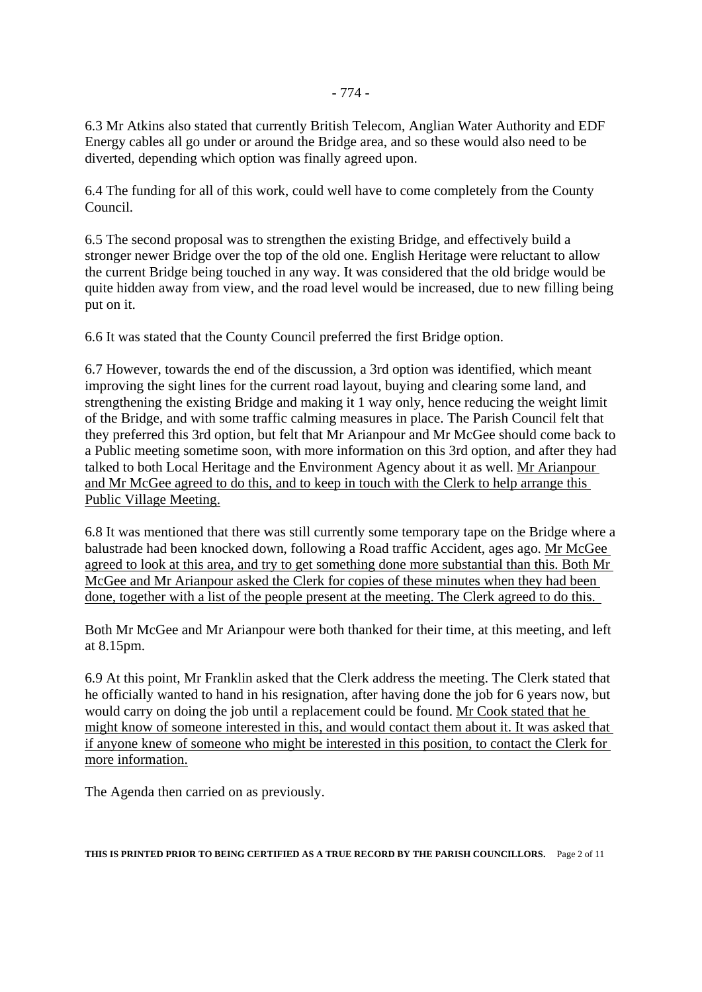6.3 Mr Atkins also stated that currently British Telecom, Anglian Water Authority and EDF Energy cables all go under or around the Bridge area, and so these would also need to be diverted, depending which option was finally agreed upon.

6.4 The funding for all of this work, could well have to come completely from the County Council.

6.5 The second proposal was to strengthen the existing Bridge, and effectively build a stronger newer Bridge over the top of the old one. English Heritage were reluctant to allow the current Bridge being touched in any way. It was considered that the old bridge would be quite hidden away from view, and the road level would be increased, due to new filling being put on it.

6.6 It was stated that the County Council preferred the first Bridge option.

6.7 However, towards the end of the discussion, a 3rd option was identified, which meant improving the sight lines for the current road layout, buying and clearing some land, and strengthening the existing Bridge and making it 1 way only, hence reducing the weight limit of the Bridge, and with some traffic calming measures in place. The Parish Council felt that they preferred this 3rd option, but felt that Mr Arianpour and Mr McGee should come back to a Public meeting sometime soon, with more information on this 3rd option, and after they had talked to both Local Heritage and the Environment Agency about it as well. Mr Arianpour and Mr McGee agreed to do this, and to keep in touch with the Clerk to help arrange this Public Village Meeting.

6.8 It was mentioned that there was still currently some temporary tape on the Bridge where a balustrade had been knocked down, following a Road traffic Accident, ages ago. Mr McGee agreed to look at this area, and try to get something done more substantial than this. Both Mr McGee and Mr Arianpour asked the Clerk for copies of these minutes when they had been done, together with a list of the people present at the meeting. The Clerk agreed to do this.

Both Mr McGee and Mr Arianpour were both thanked for their time, at this meeting, and left at 8.15pm.

6.9 At this point, Mr Franklin asked that the Clerk address the meeting. The Clerk stated that he officially wanted to hand in his resignation, after having done the job for 6 years now, but would carry on doing the job until a replacement could be found. Mr Cook stated that he might know of someone interested in this, and would contact them about it. It was asked that if anyone knew of someone who might be interested in this position, to contact the Clerk for more information.

The Agenda then carried on as previously.

**THIS IS PRINTED PRIOR TO BEING CERTIFIED AS A TRUE RECORD BY THE PARISH COUNCILLORS.** Page 2 of 11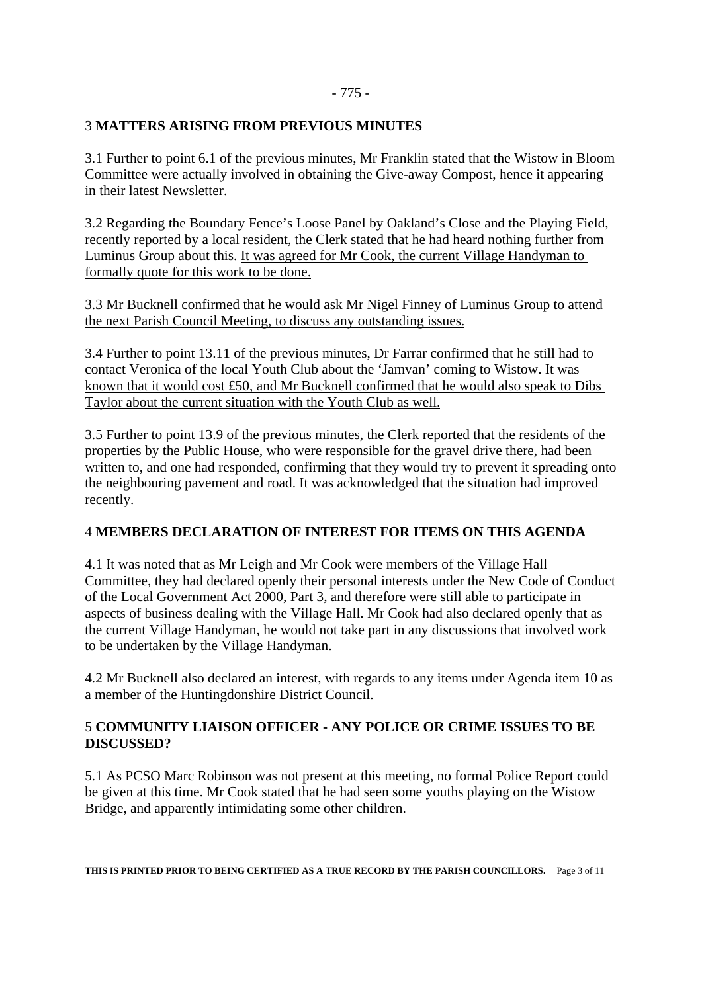#### - 775 -

#### 3 **MATTERS ARISING FROM PREVIOUS MINUTES**

3.1 Further to point 6.1 of the previous minutes, Mr Franklin stated that the Wistow in Bloom Committee were actually involved in obtaining the Give-away Compost, hence it appearing in their latest Newsletter.

3.2 Regarding the Boundary Fence's Loose Panel by Oakland's Close and the Playing Field, recently reported by a local resident, the Clerk stated that he had heard nothing further from Luminus Group about this. It was agreed for Mr Cook, the current Village Handyman to formally quote for this work to be done.

3.3 Mr Bucknell confirmed that he would ask Mr Nigel Finney of Luminus Group to attend the next Parish Council Meeting, to discuss any outstanding issues.

3.4 Further to point 13.11 of the previous minutes, Dr Farrar confirmed that he still had to contact Veronica of the local Youth Club about the 'Jamvan' coming to Wistow. It was known that it would cost £50, and Mr Bucknell confirmed that he would also speak to Dibs Taylor about the current situation with the Youth Club as well.

3.5 Further to point 13.9 of the previous minutes, the Clerk reported that the residents of the properties by the Public House, who were responsible for the gravel drive there, had been written to, and one had responded, confirming that they would try to prevent it spreading onto the neighbouring pavement and road. It was acknowledged that the situation had improved recently.

## 4 **MEMBERS DECLARATION OF INTEREST FOR ITEMS ON THIS AGENDA**

4.1 It was noted that as Mr Leigh and Mr Cook were members of the Village Hall Committee, they had declared openly their personal interests under the New Code of Conduct of the Local Government Act 2000, Part 3, and therefore were still able to participate in aspects of business dealing with the Village Hall. Mr Cook had also declared openly that as the current Village Handyman, he would not take part in any discussions that involved work to be undertaken by the Village Handyman.

4.2 Mr Bucknell also declared an interest, with regards to any items under Agenda item 10 as a member of the Huntingdonshire District Council.

## 5 **COMMUNITY LIAISON OFFICER - ANY POLICE OR CRIME ISSUES TO BE DISCUSSED?**

5.1 As PCSO Marc Robinson was not present at this meeting, no formal Police Report could be given at this time. Mr Cook stated that he had seen some youths playing on the Wistow Bridge, and apparently intimidating some other children.

**THIS IS PRINTED PRIOR TO BEING CERTIFIED AS A TRUE RECORD BY THE PARISH COUNCILLORS.** Page 3 of 11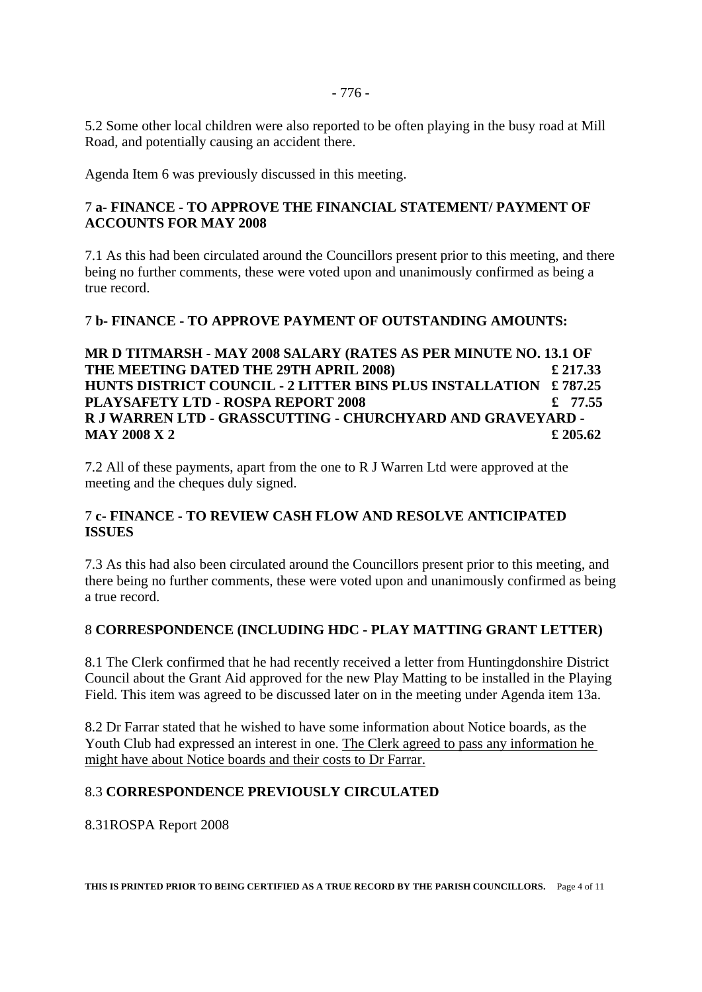5.2 Some other local children were also reported to be often playing in the busy road at Mill Road, and potentially causing an accident there.

Agenda Item 6 was previously discussed in this meeting.

#### 7 **a- FINANCE - TO APPROVE THE FINANCIAL STATEMENT/ PAYMENT OF ACCOUNTS FOR MAY 2008**

7.1 As this had been circulated around the Councillors present prior to this meeting, and there being no further comments, these were voted upon and unanimously confirmed as being a true record.

#### 7 **b- FINANCE - TO APPROVE PAYMENT OF OUTSTANDING AMOUNTS:**

**MR D TITMARSH - MAY 2008 SALARY (RATES AS PER MINUTE NO. 13.1 OF THE MEETING DATED THE 29TH APRIL 2008) £ 217.33 HUNTS DISTRICT COUNCIL - 2 LITTER BINS PLUS INSTALLATION £ 787.25 PLAYSAFETY LTD - ROSPA REPORT 2008 £ 77.55 R J WARREN LTD - GRASSCUTTING - CHURCHYARD AND GRAVEYARD - MAY 2008 X 2 £** 205.62

7.2 All of these payments, apart from the one to R J Warren Ltd were approved at the meeting and the cheques duly signed.

## 7 **c- FINANCE - TO REVIEW CASH FLOW AND RESOLVE ANTICIPATED ISSUES**

7.3 As this had also been circulated around the Councillors present prior to this meeting, and there being no further comments, these were voted upon and unanimously confirmed as being a true record.

## 8 **CORRESPONDENCE (INCLUDING HDC - PLAY MATTING GRANT LETTER)**

8.1 The Clerk confirmed that he had recently received a letter from Huntingdonshire District Council about the Grant Aid approved for the new Play Matting to be installed in the Playing Field. This item was agreed to be discussed later on in the meeting under Agenda item 13a.

8.2 Dr Farrar stated that he wished to have some information about Notice boards, as the Youth Club had expressed an interest in one. The Clerk agreed to pass any information he might have about Notice boards and their costs to Dr Farrar.

#### 8.3 **CORRESPONDENCE PREVIOUSLY CIRCULATED**

8.31ROSPA Report 2008

**THIS IS PRINTED PRIOR TO BEING CERTIFIED AS A TRUE RECORD BY THE PARISH COUNCILLORS.** Page 4 of 11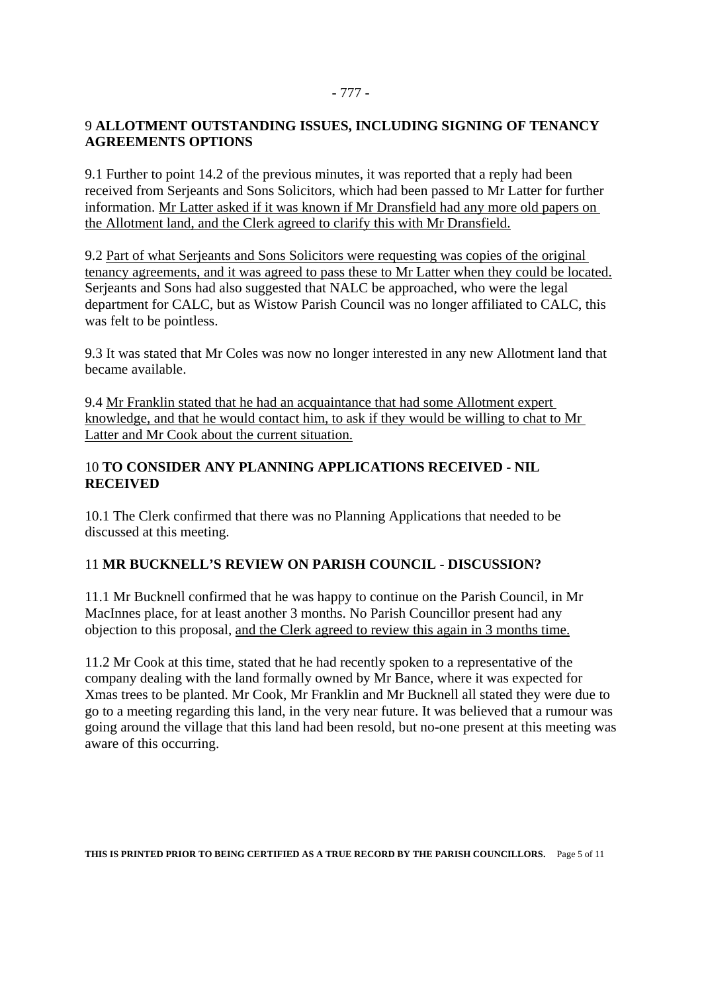#### - 777 -

#### 9 **ALLOTMENT OUTSTANDING ISSUES, INCLUDING SIGNING OF TENANCY AGREEMENTS OPTIONS**

9.1 Further to point 14.2 of the previous minutes, it was reported that a reply had been received from Serjeants and Sons Solicitors, which had been passed to Mr Latter for further information. Mr Latter asked if it was known if Mr Dransfield had any more old papers on the Allotment land, and the Clerk agreed to clarify this with Mr Dransfield.

9.2 Part of what Serjeants and Sons Solicitors were requesting was copies of the original tenancy agreements, and it was agreed to pass these to Mr Latter when they could be located. Serjeants and Sons had also suggested that NALC be approached, who were the legal department for CALC, but as Wistow Parish Council was no longer affiliated to CALC, this was felt to be pointless.

9.3 It was stated that Mr Coles was now no longer interested in any new Allotment land that became available.

9.4 Mr Franklin stated that he had an acquaintance that had some Allotment expert knowledge, and that he would contact him, to ask if they would be willing to chat to Mr Latter and Mr Cook about the current situation.

## 10 **TO CONSIDER ANY PLANNING APPLICATIONS RECEIVED - NIL RECEIVED**

10.1 The Clerk confirmed that there was no Planning Applications that needed to be discussed at this meeting.

## 11 **MR BUCKNELL'S REVIEW ON PARISH COUNCIL - DISCUSSION?**

11.1 Mr Bucknell confirmed that he was happy to continue on the Parish Council, in Mr MacInnes place, for at least another 3 months. No Parish Councillor present had any objection to this proposal, and the Clerk agreed to review this again in 3 months time.

11.2 Mr Cook at this time, stated that he had recently spoken to a representative of the company dealing with the land formally owned by Mr Bance, where it was expected for Xmas trees to be planted. Mr Cook, Mr Franklin and Mr Bucknell all stated they were due to go to a meeting regarding this land, in the very near future. It was believed that a rumour was going around the village that this land had been resold, but no-one present at this meeting was aware of this occurring.

**THIS IS PRINTED PRIOR TO BEING CERTIFIED AS A TRUE RECORD BY THE PARISH COUNCILLORS.** Page 5 of 11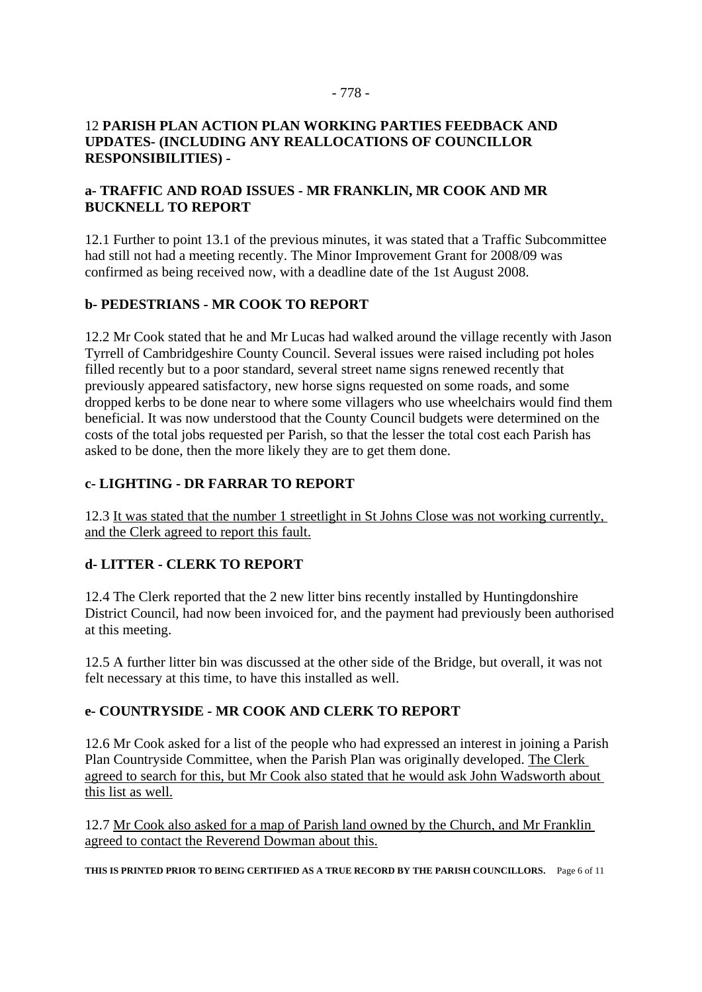#### - 778 -

#### 12 **PARISH PLAN ACTION PLAN WORKING PARTIES FEEDBACK AND UPDATES- (INCLUDING ANY REALLOCATIONS OF COUNCILLOR RESPONSIBILITIES) -**

#### **a- TRAFFIC AND ROAD ISSUES - MR FRANKLIN, MR COOK AND MR BUCKNELL TO REPORT**

12.1 Further to point 13.1 of the previous minutes, it was stated that a Traffic Subcommittee had still not had a meeting recently. The Minor Improvement Grant for 2008/09 was confirmed as being received now, with a deadline date of the 1st August 2008.

## **b- PEDESTRIANS - MR COOK TO REPORT**

12.2 Mr Cook stated that he and Mr Lucas had walked around the village recently with Jason Tyrrell of Cambridgeshire County Council. Several issues were raised including pot holes filled recently but to a poor standard, several street name signs renewed recently that previously appeared satisfactory, new horse signs requested on some roads, and some dropped kerbs to be done near to where some villagers who use wheelchairs would find them beneficial. It was now understood that the County Council budgets were determined on the costs of the total jobs requested per Parish, so that the lesser the total cost each Parish has asked to be done, then the more likely they are to get them done.

#### **c- LIGHTING - DR FARRAR TO REPORT**

12.3 It was stated that the number 1 streetlight in St Johns Close was not working currently, and the Clerk agreed to report this fault.

## **d- LITTER - CLERK TO REPORT**

12.4 The Clerk reported that the 2 new litter bins recently installed by Huntingdonshire District Council, had now been invoiced for, and the payment had previously been authorised at this meeting.

12.5 A further litter bin was discussed at the other side of the Bridge, but overall, it was not felt necessary at this time, to have this installed as well.

## **e- COUNTRYSIDE - MR COOK AND CLERK TO REPORT**

12.6 Mr Cook asked for a list of the people who had expressed an interest in joining a Parish Plan Countryside Committee, when the Parish Plan was originally developed. The Clerk agreed to search for this, but Mr Cook also stated that he would ask John Wadsworth about this list as well.

12.7 Mr Cook also asked for a map of Parish land owned by the Church, and Mr Franklin agreed to contact the Reverend Dowman about this.

**THIS IS PRINTED PRIOR TO BEING CERTIFIED AS A TRUE RECORD BY THE PARISH COUNCILLORS.** Page 6 of 11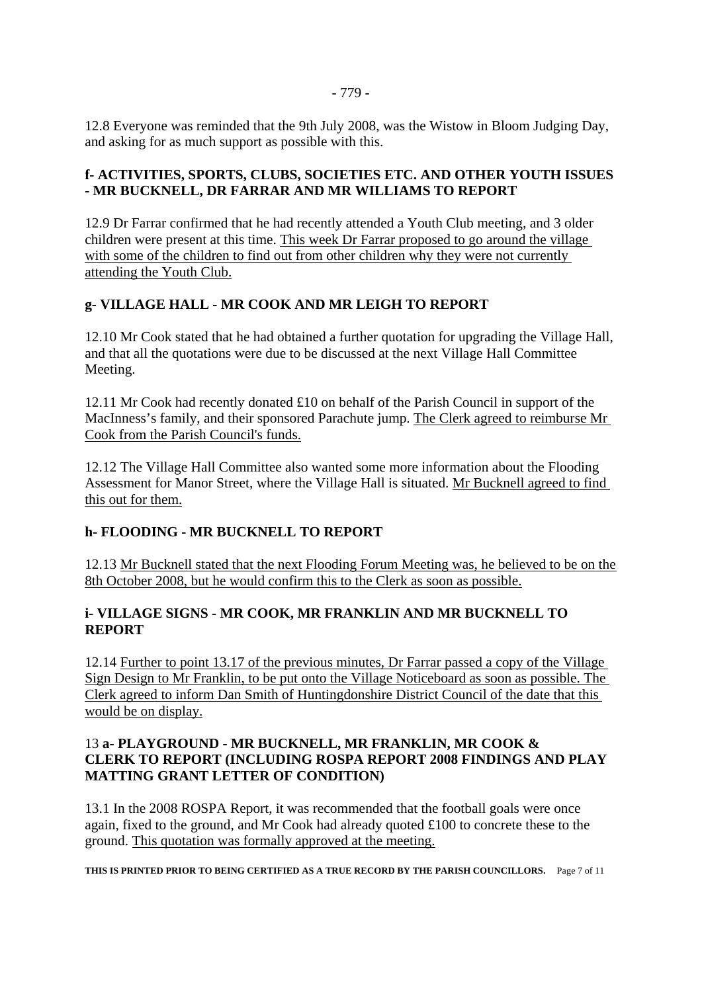12.8 Everyone was reminded that the 9th July 2008, was the Wistow in Bloom Judging Day, and asking for as much support as possible with this.

#### **f- ACTIVITIES, SPORTS, CLUBS, SOCIETIES ETC. AND OTHER YOUTH ISSUES - MR BUCKNELL, DR FARRAR AND MR WILLIAMS TO REPORT**

12.9 Dr Farrar confirmed that he had recently attended a Youth Club meeting, and 3 older children were present at this time. This week Dr Farrar proposed to go around the village with some of the children to find out from other children why they were not currently attending the Youth Club.

## **g- VILLAGE HALL - MR COOK AND MR LEIGH TO REPORT**

12.10 Mr Cook stated that he had obtained a further quotation for upgrading the Village Hall, and that all the quotations were due to be discussed at the next Village Hall Committee Meeting.

12.11 Mr Cook had recently donated £10 on behalf of the Parish Council in support of the MacInness's family, and their sponsored Parachute jump. The Clerk agreed to reimburse Mr Cook from the Parish Council's funds.

12.12 The Village Hall Committee also wanted some more information about the Flooding Assessment for Manor Street, where the Village Hall is situated. Mr Bucknell agreed to find this out for them.

## **h- FLOODING - MR BUCKNELL TO REPORT**

12.13 Mr Bucknell stated that the next Flooding Forum Meeting was, he believed to be on the 8th October 2008, but he would confirm this to the Clerk as soon as possible.

## **i- VILLAGE SIGNS - MR COOK, MR FRANKLIN AND MR BUCKNELL TO REPORT**

12.14 Further to point 13.17 of the previous minutes, Dr Farrar passed a copy of the Village Sign Design to Mr Franklin, to be put onto the Village Noticeboard as soon as possible. The Clerk agreed to inform Dan Smith of Huntingdonshire District Council of the date that this would be on display.

## 13 **a- PLAYGROUND - MR BUCKNELL, MR FRANKLIN, MR COOK & CLERK TO REPORT (INCLUDING ROSPA REPORT 2008 FINDINGS AND PLAY MATTING GRANT LETTER OF CONDITION)**

13.1 In the 2008 ROSPA Report, it was recommended that the football goals were once again, fixed to the ground, and Mr Cook had already quoted £100 to concrete these to the ground. This quotation was formally approved at the meeting.

**THIS IS PRINTED PRIOR TO BEING CERTIFIED AS A TRUE RECORD BY THE PARISH COUNCILLORS.** Page 7 of 11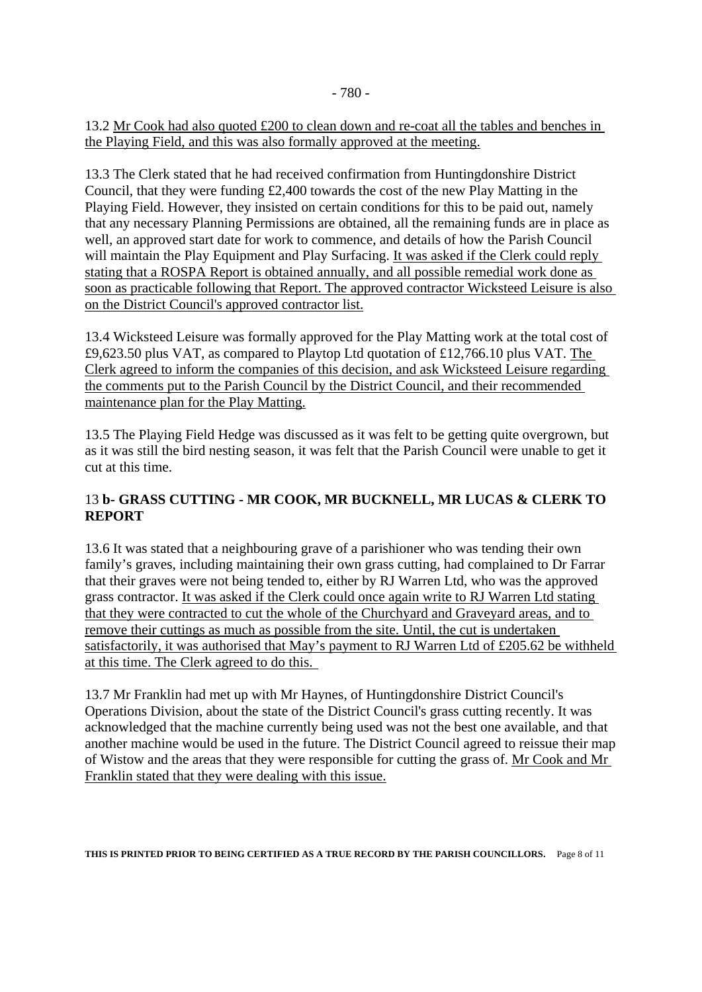13.2 Mr Cook had also quoted £200 to clean down and re-coat all the tables and benches in the Playing Field, and this was also formally approved at the meeting.

13.3 The Clerk stated that he had received confirmation from Huntingdonshire District Council, that they were funding £2,400 towards the cost of the new Play Matting in the Playing Field. However, they insisted on certain conditions for this to be paid out, namely that any necessary Planning Permissions are obtained, all the remaining funds are in place as well, an approved start date for work to commence, and details of how the Parish Council will maintain the Play Equipment and Play Surfacing. It was asked if the Clerk could reply stating that a ROSPA Report is obtained annually, and all possible remedial work done as soon as practicable following that Report. The approved contractor Wicksteed Leisure is also on the District Council's approved contractor list.

13.4 Wicksteed Leisure was formally approved for the Play Matting work at the total cost of £9,623.50 plus VAT, as compared to Playtop Ltd quotation of £12,766.10 plus VAT. The Clerk agreed to inform the companies of this decision, and ask Wicksteed Leisure regarding the comments put to the Parish Council by the District Council, and their recommended maintenance plan for the Play Matting.

13.5 The Playing Field Hedge was discussed as it was felt to be getting quite overgrown, but as it was still the bird nesting season, it was felt that the Parish Council were unable to get it cut at this time.

## 13 **b- GRASS CUTTING - MR COOK, MR BUCKNELL, MR LUCAS & CLERK TO REPORT**

13.6 It was stated that a neighbouring grave of a parishioner who was tending their own family's graves, including maintaining their own grass cutting, had complained to Dr Farrar that their graves were not being tended to, either by RJ Warren Ltd, who was the approved grass contractor. It was asked if the Clerk could once again write to RJ Warren Ltd stating that they were contracted to cut the whole of the Churchyard and Graveyard areas, and to remove their cuttings as much as possible from the site. Until, the cut is undertaken satisfactorily, it was authorised that May's payment to RJ Warren Ltd of £205.62 be withheld at this time. The Clerk agreed to do this.

13.7 Mr Franklin had met up with Mr Haynes, of Huntingdonshire District Council's Operations Division, about the state of the District Council's grass cutting recently. It was acknowledged that the machine currently being used was not the best one available, and that another machine would be used in the future. The District Council agreed to reissue their map of Wistow and the areas that they were responsible for cutting the grass of. Mr Cook and Mr Franklin stated that they were dealing with this issue.

**THIS IS PRINTED PRIOR TO BEING CERTIFIED AS A TRUE RECORD BY THE PARISH COUNCILLORS.** Page 8 of 11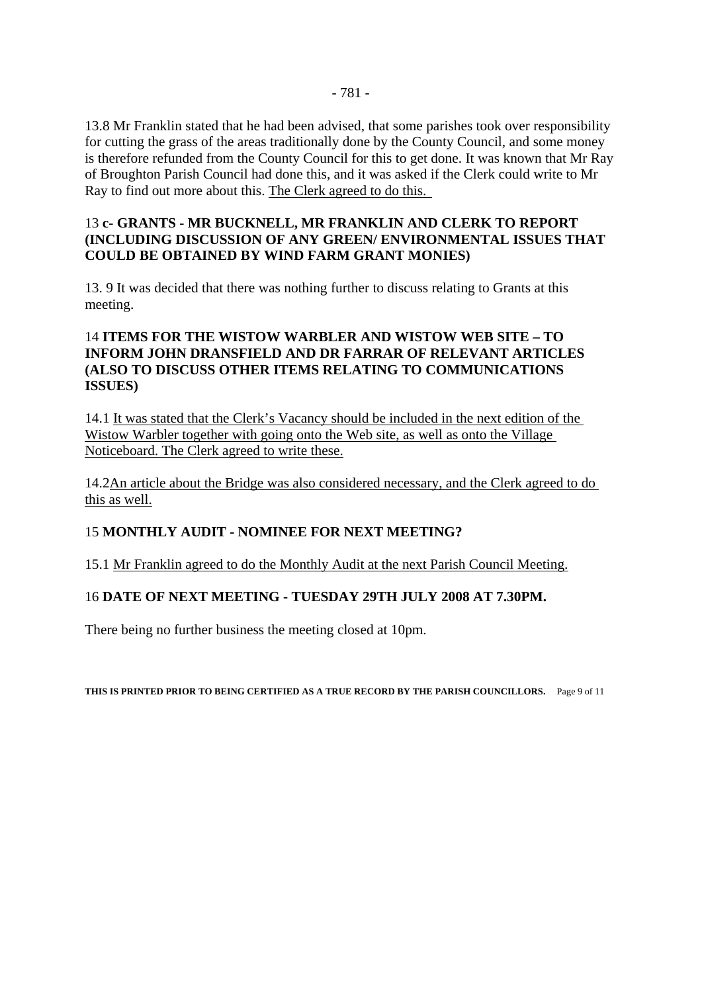#### 13 **c- GRANTS - MR BUCKNELL, MR FRANKLIN AND CLERK TO REPORT (INCLUDING DISCUSSION OF ANY GREEN/ ENVIRONMENTAL ISSUES THAT COULD BE OBTAINED BY WIND FARM GRANT MONIES)**

13. 9 It was decided that there was nothing further to discuss relating to Grants at this meeting.

## 14 **ITEMS FOR THE WISTOW WARBLER AND WISTOW WEB SITE – TO INFORM JOHN DRANSFIELD AND DR FARRAR OF RELEVANT ARTICLES (ALSO TO DISCUSS OTHER ITEMS RELATING TO COMMUNICATIONS ISSUES)**

14.1 It was stated that the Clerk's Vacancy should be included in the next edition of the Wistow Warbler together with going onto the Web site, as well as onto the Village Noticeboard. The Clerk agreed to write these.

14.2An article about the Bridge was also considered necessary, and the Clerk agreed to do this as well.

## 15 **MONTHLY AUDIT - NOMINEE FOR NEXT MEETING?**

15.1 Mr Franklin agreed to do the Monthly Audit at the next Parish Council Meeting.

## 16 **DATE OF NEXT MEETING - TUESDAY 29TH JULY 2008 AT 7.30PM.**

There being no further business the meeting closed at 10pm.

**THIS IS PRINTED PRIOR TO BEING CERTIFIED AS A TRUE RECORD BY THE PARISH COUNCILLORS.** Page 9 of 11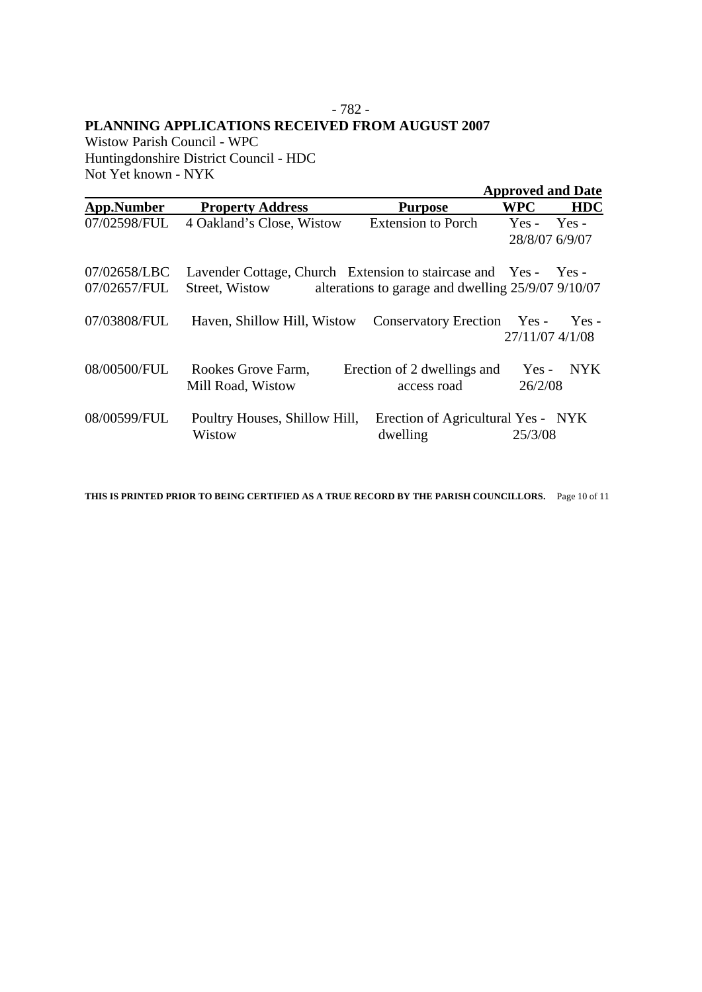#### - 782 - **PLANNING APPLICATIONS RECEIVED FROM AUGUST 2007**

Wistow Parish Council - WPC Huntingdonshire District Council - HDC Not Yet known - NYK

|                              |                                                                                   |                                                    | <b>Approved and Date</b>        |
|------------------------------|-----------------------------------------------------------------------------------|----------------------------------------------------|---------------------------------|
| App.Number                   | <b>Property Address</b>                                                           | <b>Purpose</b>                                     | <b>HDC</b><br>WPC               |
| 07/02598/FUL                 | 4 Oakland's Close, Wistow                                                         | <b>Extension to Porch</b>                          | $Yes - Yes -$<br>28/8/07 6/9/07 |
| 07/02658/LBC<br>07/02657/FUL | Lavender Cottage, Church Extension to staircase and Yes - Yes -<br>Street, Wistow | alterations to garage and dwelling 25/9/07 9/10/07 |                                 |
| 07/03808/FUL                 | Haven, Shillow Hill, Wistow                                                       | Conservatory Erection Yes -                        | $Yes -$<br>27/11/07 4/1/08      |
| 08/00500/FUL                 | Rookes Grove Farm,<br>Mill Road, Wistow                                           | Erection of 2 dwellings and<br>access road         | Yes - NYK<br>26/2/08            |
| 08/00599/FUL                 | Poultry Houses, Shillow Hill,<br>Wistow                                           | Erection of Agricultural Yes - NYK<br>dwelling     | 25/3/08                         |

**THIS IS PRINTED PRIOR TO BEING CERTIFIED AS A TRUE RECORD BY THE PARISH COUNCILLORS.** Page 10 of 11